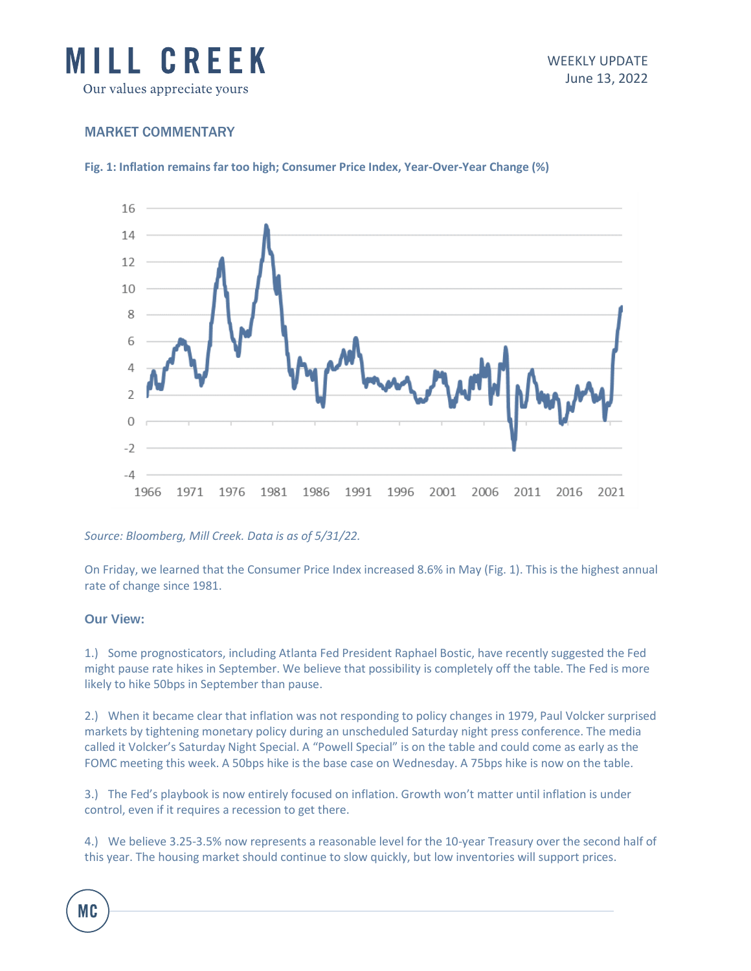

## MARKET COMMENTARY

**Fig. 1: Inflation remains far too high; Consumer Price Index, Year-Over-Year Change (%)**



*Source: Bloomberg, Mill Creek. Data is as of 5/31/22.*

On Friday, we learned that the Consumer Price Index increased 8.6% in May (Fig. 1). This is the highest annual rate of change since 1981.

## **Our View:**

1.) Some prognosticators, including Atlanta Fed President Raphael Bostic, have recently suggested the Fed might pause rate hikes in September. We believe that possibility is completely off the table. The Fed is more likely to hike 50bps in September than pause.

2.) When it became clear that inflation was not responding to policy changes in 1979, Paul Volcker surprised markets by tightening monetary policy during an unscheduled Saturday night press conference. The media called it Volcker's Saturday Night Special. A "Powell Special" is on the table and could come as early as the FOMC meeting this week. A 50bps hike is the base case on Wednesday. A 75bps hike is now on the table.

3.) The Fed's playbook is now entirely focused on inflation. Growth won't matter until inflation is under control, even if it requires a recession to get there.

4.) We believe 3.25-3.5% now represents a reasonable level for the 10-year Treasury over the second half of this year. The housing market should continue to slow quickly, but low inventories will support prices.